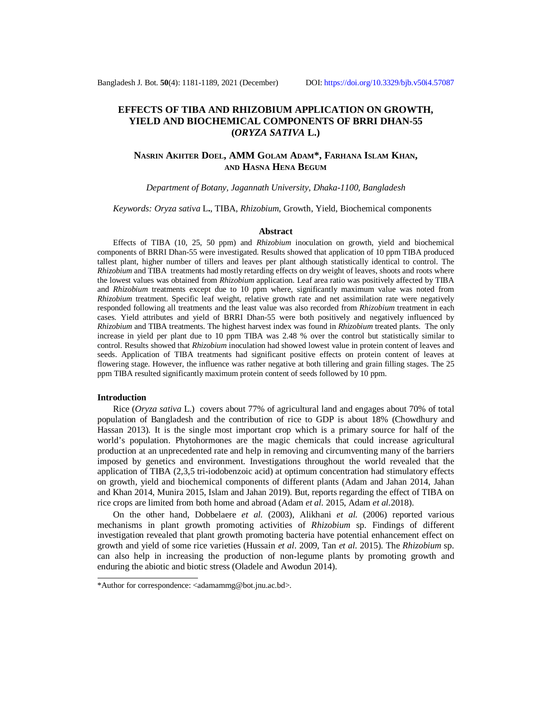# **EFFECTS OF TIBA AND RHIZOBIUM APPLICATION ON GROWTH, YIELD AND BIOCHEMICAL COMPONENTS OF BRRI DHAN-55 (***ORYZA SATIVA* **L.)**

## **NASRIN AKHTER DOEL, AMM GOLAM ADAM\*, FARHANA ISLAM KHAN, AND HASNA HENA BEGUM**

*Department of Botany, Jagannath University, Dhaka-1100, Bangladesh*

*Keywords: Oryza sativa* L**.**, TIBA, *Rhizobium*, Growth, Yield, Biochemical components

#### **Abstract**

Effects of TIBA (10, 25, 50 ppm) and *Rhizobium* inoculation on growth, yield and biochemical components of BRRI Dhan-55 were investigated. Results showed that application of 10 ppm TIBA produced tallest plant, higher number of tillers and leaves per plant although statistically identical to control. The *Rhizobium* and TIBA treatments had mostly retarding effects on dry weight of leaves, shoots and roots where the lowest values was obtained from *Rhizobium* application. Leaf area ratio was positively affected by TIBA and *Rhizobium* treatments except due to 10 ppm where, significantly maximum value was noted from *Rhizobium* treatment. Specific leaf weight, relative growth rate and net assimilation rate were negatively responded following all treatments and the least value was also recorded from *Rhizobium* treatment in each cases. Yield attributes and yield of BRRI Dhan-55 were both positively and negatively influenced by *Rhizobium* and TIBA treatments. The highest harvest index was found in *Rhizobium* treated plants. The only increase in yield per plant due to 10 ppm TIBA was 2.48 % over the control but statistically similar to control. Results showed that *Rhizobium* inoculation had showed lowest value in protein content of leaves and seeds. Application of TIBA treatments had significant positive effects on protein content of leaves at flowering stage. However, the influence was rather negative at both tillering and grain filling stages. The 25 ppm TIBA resulted significantly maximum protein content of seeds followed by 10 ppm.

#### **Introduction**

Rice (*Oryza sativa* L.) covers about 77% of agricultural land and engages about 70% of total population of Bangladesh and the contribution of rice to GDP is about 18% (Chowdhury and Hassan 2013). It is the single most important crop which is a primary source for half of the world's population. Phytohormones are the magic chemicals that could increase agricultural production at an unprecedented rate and help in removing and circumventing many of the barriers imposed by genetics and environment. Investigations throughout the world revealed that the application of TIBA (2,3,5 tri-iodobenzoic acid) at optimum concentration had stimulatory effects on growth, yield and biochemical components of different plants (Adam and Jahan 2014, Jahan and Khan 2014, Munira 2015, Islam and Jahan 2019). But, reports regarding the effect of TIBA on rice crops are limited from both home and abroad (Adam *et al.* 2015, Adam *et al.*2018).

On the other hand, Dobbelaere *et al.* (2003), Alikhani *et al.* (2006) reported various mechanisms in plant growth promoting activities of *Rhizobium* sp. Findings of different investigation revealed that plant growth promoting bacteria have potential enhancement effect on growth and yield of some rice varieties (Hussain *et al*. 2009, Tan *et al*. 2015). The *Rhizobium* sp. can also help in increasing the production of non-legume plants by promoting growth and enduring the abiotic and biotic stress (Oladele and Awodun 2014).

<sup>\*</sup>Author for correspondence: [<adamammg@bot.jnu.ac.bd>](mailto:adamammg@bot.jnu.ac.bd).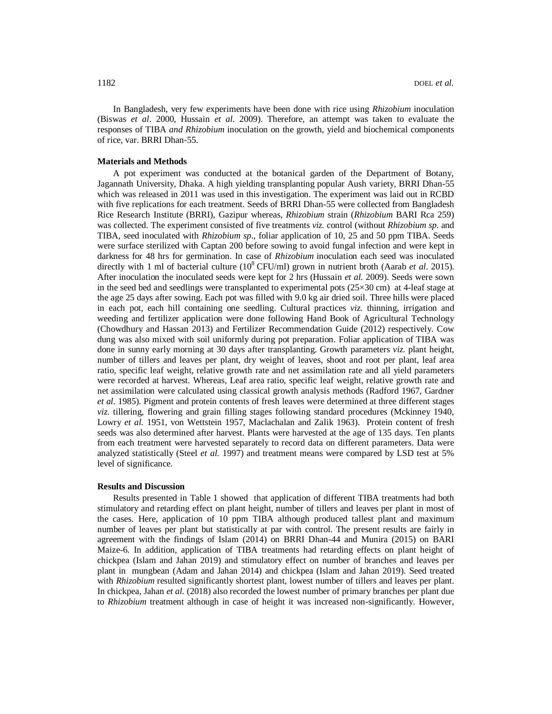In Bangladesh, very few experiments have been done with rice using *Rhizobium* inoculation (Biswas *et al*. 2000, Hussain *et al*. 2009). Therefore, an attempt was taken to evaluate the responses of TIBA *and Rhizobium* inoculation on the growth, yield and biochemical components of rice, var. BRRI Dhan-55.

#### **Materials and Methods**

A pot experiment was conducted at the botanical garden of the Department of Botany, Jagannath University, Dhaka. A high yielding transplanting popular Aush variety, BRRI Dhan-55 which was released in 2011 was used in this investigation. The experiment was laid out in RCBD with five replications for each treatment. Seeds of BRRI Dhan-55 were collected from Bangladesh Rice Research Institute (BRRI), Gazipur whereas, *Rhizobium* strain (*Rhizobium* BARI Rca 259) was collected. The experiment consisted of five treatments *viz.* control (without *Rhizobium sp*. and TIBA, seed inoculated with *Rhizobium sp*., foliar application of 10, 25 and 50 ppm TIBA. Seeds were surface sterilized with Captan 200 before sowing to avoid fungal infection and were kept in darkness for 48 hrs for germination. In case of *Rhizobium* inoculation each seed was inoculated directly with 1 ml of bacterial culture  $(10^8 \text{ CFU/ml})$  grown in nutrient broth (Aarab *et al.* 2015). After inoculation the inoculated seeds were kept for 2 hrs (Hussain *et al.* 2009). Seeds were sown in the seed bed and seedlings were transplanted to experimental pots  $(25\times30 \text{ cm})$  at 4-leaf stage at the age 25 days after sowing. Each pot was filled with 9.0 kg air dried soil. Three hills were placed in each pot, each hill containing one seedling. Cultural practices *viz.* thinning, irrigation and weeding and fertilizer application were done following Hand Book of Agricultural Technology (Chowdhury and Hassan 2013) and Fertilizer Recommendation Guide (2012) respectively. Cow dung was also mixed with soil uniformly during pot preparation. Foliar application of TIBA was done in sunny early morning at 30 days after transplanting. Growth parameters *viz.* plant height, number of tillers and leaves per plant, dry weight of leaves, shoot and root per plant, leaf area ratio, specific leaf weight, relative growth rate and net assimilation rate and all yield parameters were recorded at harvest. Whereas, Leaf area ratio, specific leaf weight, relative growth rate and net assimilation were calculated using classical growth analysis methods (Radford 1967, Gardner *et al.* 1985). Pigment and protein contents of fresh leaves were determined at three different stages *viz.* tillering, flowering and grain filling stages following standard procedures (Mckinney 1940, Lowry *et al.* 1951, von Wettstein 1957, Maclachalan and Zalik 1963). Protein content of fresh seeds was also determined after harvest. Plants were harvested at the age of 135 days. Ten plants from each treatment were harvested separately to record data on different parameters. Data were analyzed statistically (Steel *et al.* 1997) and treatment means were compared by LSD test at 5% level of significance.

### **Results and Discussion**

Results presented in Table 1 showed that application of different TIBA treatments had both stimulatory and retarding effect on plant height, number of tillers and leaves per plant in most of the cases. Here, application of 10 ppm TIBA although produced tallest plant and maximum number of leaves per plant but statistically at par with control. The present results are fairly in agreement with the findings of Islam (2014) on BRRI Dhan-44 and Munira (2015) on BARI Maize-6. In addition, application of TIBA treatments had retarding effects on plant height of chickpea (Islam and Jahan 2019) and stimulatory effect on number of branches and leaves per plant in mungbean (Adam and Jahan 2014) and chickpea (Islam and Jahan 2019). Seed treated with *Rhizobium* resulted significantly shortest plant, lowest number of tillers and leaves per plant. In chickpea, Jahan *et al.* (2018) also recorded the lowest number of primary branches per plant due to *Rhizobium* treatment although in case of height it was increased non-significantly. However,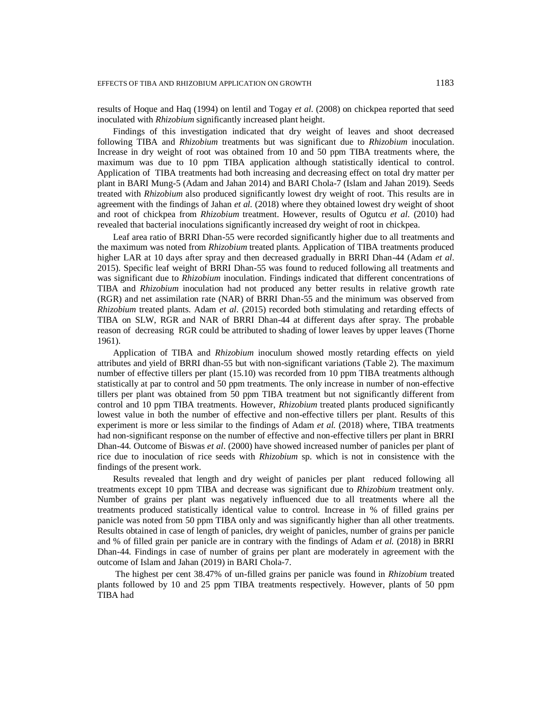results of Hoque and Haq (1994) on lentil and Togay *et al.* (2008) on chickpea reported that seed inoculated with *Rhizobium* significantly increased plant height.

Findings of this investigation indicated that dry weight of leaves and shoot decreased following TIBA and *Rhizobium* treatments but was significant due to *Rhizobium* inoculation. Increase in dry weight of root was obtained from 10 and 50 ppm TIBA treatments where, the maximum was due to 10 ppm TIBA application although statistically identical to control. Application of TIBA treatments had both increasing and decreasing effect on total dry matter per plant in BARI Mung-5 (Adam and Jahan 2014) and BARI Chola-7 (Islam and Jahan 2019). Seeds treated with *Rhizobium* also produced significantly lowest dry weight of root. This results are in agreement with the findings of Jahan *et al.* (2018) where they obtained lowest dry weight of shoot and root of chickpea from *Rhizobium* treatment. However, results of Ogutcu *et al.* (2010) had revealed that bacterial inoculations significantly increased dry weight of root in chickpea.

Leaf area ratio of BRRI Dhan-55 were recorded significantly higher due to all treatments and the maximum was noted from *Rhizobium* treated plants. Application of TIBA treatments produced higher LAR at 10 days after spray and then decreased gradually in BRRI Dhan-44 (Adam *et al*. 2015). Specific leaf weight of BRRI Dhan-55 was found to reduced following all treatments and was significant due to *Rhizobium* inoculation. Findings indicated that different concentrations of TIBA and *Rhizobium* inoculation had not produced any better results in relative growth rate (RGR) and net assimilation rate (NAR) of BRRI Dhan-55 and the minimum was observed from *Rhizobium* treated plants. Adam *et al*. (2015) recorded both stimulating and retarding effects of TIBA on SLW, RGR and NAR of BRRI Dhan-44 at different days after spray. The probable reason of decreasing RGR could be attributed to shading of lower leaves by upper leaves (Thorne 1961).

Application of TIBA and *Rhizobium* inoculum showed mostly retarding effects on yield attributes and yield of BRRI dhan-55 but with non-significant variations (Table 2). The maximum number of effective tillers per plant (15.10) was recorded from 10 ppm TIBA treatments although statistically at par to control and 50 ppm treatments. The only increase in number of non-effective tillers per plant was obtained from 50 ppm TIBA treatment but not significantly different from control and 10 ppm TIBA treatments. However, *Rhizobium* treated plants produced significantly lowest value in both the number of effective and non-effective tillers per plant. Results of this experiment is more or less similar to the findings of Adam *et al.* (2018) where, TIBA treatments had non-significant response on the number of effective and non-effective tillers per plant in BRRI Dhan-44. Outcome of Biswas *et al*. (2000) have showed increased number of panicles per plant of rice due to inoculation of rice seeds with *Rhizobium* sp. which is not in consistence with the findings of the present work.

Results revealed that length and dry weight of panicles per plant reduced following all treatments except 10 ppm TIBA and decrease was significant due to *Rhizobium* treatment only. Number of grains per plant was negatively influenced due to all treatments where all the treatments produced statistically identical value to control. Increase in % of filled grains per panicle was noted from 50 ppm TIBA only and was significantly higher than all other treatments. Results obtained in case of length of panicles, dry weight of panicles, number of grains per panicle and % of filled grain per panicle are in contrary with the findings of Adam *et al.* (2018) in BRRI Dhan-44. Findings in case of number of grains per plant are moderately in agreement with the outcome of Islam and Jahan (2019) in BARI Chola-7.

The highest per cent 38.47% of un-filled grains per panicle was found in *Rhizobium* treated plants followed by 10 and 25 ppm TIBA treatments respectively. However, plants of 50 ppm TIBA had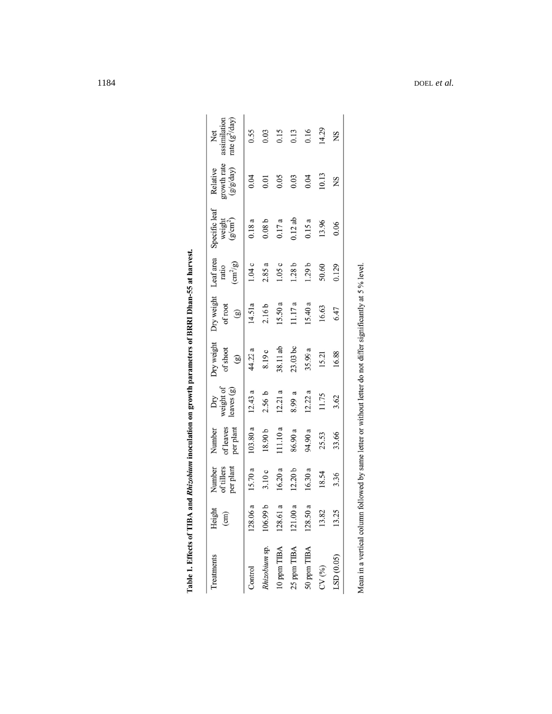| growth rate<br>(g/g/day)<br>$0.12$ ab<br>weight<br>(g/cm <sup>2</sup> )<br>0.08 <sub>b</sub><br>0.18a<br>0.17a<br>0.15a<br>13.96 | $\left(\text{cm}^2/\text{g}\right)$<br>2.85a<br>1.04c<br>1.05c<br>1.28b<br>1.29 <sub>b</sub><br>50.60<br>ratio | 15.50a<br>15.40a<br>11.17 a<br>14.51a<br>of root<br>2.16 <sub>b</sub><br>16.63<br>$\left( \mathbf{g}\right)$ | Dry weight<br>38.11 ab<br>$23.03$ bc<br>of shoot<br>44.22 a<br>35.99a<br>8.19c<br>15.21<br>$\circledB$ | weight of<br>leaves (g)<br>12.21a<br>12.43a<br>12.22a<br>2.56 <sub>b</sub><br>8.99 a<br>11.75<br>Dry | of leaves<br>103.80a<br>111.10a<br>per plant<br>Number<br>18.90 b<br>86.90 a<br>94.90 a<br>25.53 | Number<br>of tillers<br>per plant<br>15.70a<br>12.20 <sub>b</sub><br>16.20a<br>16.30a<br>3.10c<br>18.54 | 128.06 a<br>106.99 b<br>128.61 a<br>121.00 a<br>50 <sub>a</sub><br>Height<br>13.82<br>(cm)<br>128. |
|----------------------------------------------------------------------------------------------------------------------------------|----------------------------------------------------------------------------------------------------------------|--------------------------------------------------------------------------------------------------------------|--------------------------------------------------------------------------------------------------------|------------------------------------------------------------------------------------------------------|--------------------------------------------------------------------------------------------------|---------------------------------------------------------------------------------------------------------|----------------------------------------------------------------------------------------------------|
| 0.06                                                                                                                             | 0.129                                                                                                          | 6.47                                                                                                         | 16.88                                                                                                  | 3.62                                                                                                 | 33.66                                                                                            | 3.36                                                                                                    | .25                                                                                                |
|                                                                                                                                  |                                                                                                                |                                                                                                              |                                                                                                        |                                                                                                      |                                                                                                  |                                                                                                         |                                                                                                    |
|                                                                                                                                  |                                                                                                                |                                                                                                              |                                                                                                        |                                                                                                      |                                                                                                  |                                                                                                         |                                                                                                    |
|                                                                                                                                  |                                                                                                                |                                                                                                              |                                                                                                        |                                                                                                      |                                                                                                  |                                                                                                         |                                                                                                    |
|                                                                                                                                  |                                                                                                                |                                                                                                              |                                                                                                        |                                                                                                      |                                                                                                  |                                                                                                         |                                                                                                    |
|                                                                                                                                  |                                                                                                                |                                                                                                              |                                                                                                        |                                                                                                      |                                                                                                  |                                                                                                         |                                                                                                    |
|                                                                                                                                  |                                                                                                                |                                                                                                              |                                                                                                        |                                                                                                      |                                                                                                  |                                                                                                         |                                                                                                    |
|                                                                                                                                  |                                                                                                                |                                                                                                              |                                                                                                        |                                                                                                      |                                                                                                  |                                                                                                         |                                                                                                    |
|                                                                                                                                  | Relative                                                                                                       | Specific leaf                                                                                                | Dry weight Leaf area                                                                                   |                                                                                                      |                                                                                                  |                                                                                                         |                                                                                                    |

| ֚֚֚֬   |
|--------|
|        |
| ו<br>ו |
|        |
|        |
|        |
|        |
|        |
| l      |
|        |
| i<br>İ |
| J      |
|        |
|        |
|        |
|        |
|        |
|        |
| I      |
|        |
|        |
| I      |
|        |
|        |
|        |
|        |
|        |
| I      |
|        |

DOEL *et al.*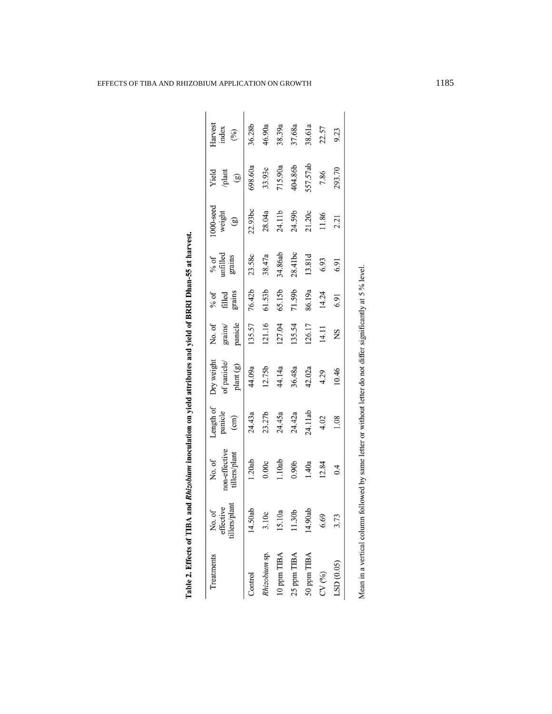| Treatments                  | tillers/plant<br>effective<br>No. of | non-effective<br>tillers/plant<br>No. of                                            | Length of<br>panicle<br>(cm) | Dry weight<br>of panicle/<br>plant (g) | panicle<br>grains/<br>No. of | filled<br>grains<br>% of | unfilled<br>grains<br>% of | $000$ -seed<br>weight<br>$\circledg$ | Yield<br>plant<br>$\circledS$ | Harvest<br>index<br>(%) |
|-----------------------------|--------------------------------------|-------------------------------------------------------------------------------------|------------------------------|----------------------------------------|------------------------------|--------------------------|----------------------------|--------------------------------------|-------------------------------|-------------------------|
| Control                     | 14.50ab                              | 1.20ab                                                                              | 24.43a                       | 44.09a                                 | 135.57                       | 76.42b                   | 23.58c                     | 22.93bc                              | 698.60a                       | 36.28b                  |
| hizobium sp.                | 3.10c                                | 0.00c                                                                               | 23.27b                       | 12.75b                                 | 121.16                       | 61.53b                   | 38.47a                     | 28.04a                               | 33.93c                        | 46.90a                  |
| 10 ppm TIBA                 | 15.10a                               | 1.10ab                                                                              | 24.45a                       | 44.14a                                 | 127.04                       | 65.15b                   | 34.86ab                    | 24.11b                               | 715.90a                       | 38.39a                  |
| 25 ppm TIBA                 | 1.30 <sub>b</sub>                    | 0.90 <sub>b</sub>                                                                   | 24.42a                       | 36.48a                                 | 135.54                       | 71.59b                   | 28.41bc                    | 24.59b                               | 404.86b                       | 37.68a                  |
| 50 ppm TIBA                 | 14.90ab                              | 1.40a                                                                               | 24.11ab                      | 42.02a                                 | 126.17                       | 86.19a                   | 13.81d                     | 21.20c                               | 557.57ab                      | 38.61a                  |
| CV(%)                       | 6.69                                 | 12.84                                                                               | 4.02                         | 4.29                                   | 14.11                        | 14.24                    | 6.93                       | 11.86                                | 7.86                          | 22.57                   |
| LSD(0.05)                   | 3.73                                 | 0.4                                                                                 | 1.08                         | 10.46                                  | ΧŊ                           | 6.91                     | <b>6.91</b>                | 2.21                                 | 293.70                        | 9.23                    |
| Mean in a vertical column f |                                      | followed by same letter or without letter do not differ significantly at 5 % level. |                              |                                        |                              |                          |                            |                                      |                               |                         |

| J                 |
|-------------------|
| ı                 |
|                   |
|                   |
|                   |
|                   |
|                   |
|                   |
|                   |
|                   |
|                   |
|                   |
|                   |
|                   |
|                   |
|                   |
|                   |
|                   |
|                   |
|                   |
| l                 |
|                   |
| $\sim$ 444 $\sim$ |
|                   |

Table 2. Effects of TIBA and Rhizobium inoculation on yield attributes and yield of BRRI Dhan-55 at harvest.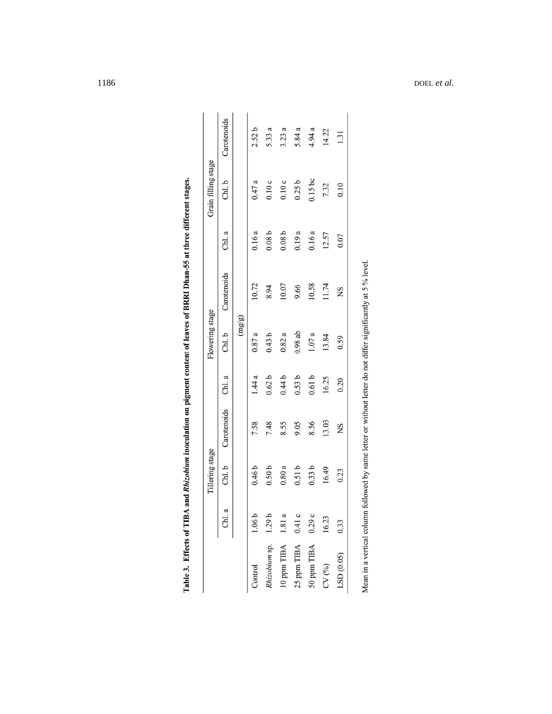|                      |          | Tillering stage   |             |                   | Flowering stage |                                                                                                               |                   | Grain filling stage |             |
|----------------------|----------|-------------------|-------------|-------------------|-----------------|---------------------------------------------------------------------------------------------------------------|-------------------|---------------------|-------------|
|                      | a<br>CH. | Chl.b             | Carotenoids | Chl. a            | Chl. b          | Carotenoids                                                                                                   | Chl. a            | Chl. b              | Carotenoids |
|                      |          |                   |             |                   | (mg/g)          |                                                                                                               |                   |                     |             |
| Control              | 1.06b    | 0.46 <sub>b</sub> | 7.58        | 1.44a             | 0.87a           | 10.72                                                                                                         | 0.16a             | 0.47a               | 2.52b       |
| Rhizobium sp. 1.29 b |          | 0.50 <sub>b</sub> | 7.48        | 0.62 <sub>b</sub> | 0.43b           | 8.94                                                                                                          | 0.08 <sub>b</sub> | 0.10c               | 5.33 a      |
| 10 ppm TIBA 1.81 a   |          | 0.80a             | 8.55        | 0.44b             | 0.82a           | 10.07                                                                                                         | 0.08 <sub>b</sub> | 0.10c               | 3.23a       |
| 25 ppm TIBA 0.41 c   |          | 0.51b             | 9.05        | 0.53b             | 0.98ab          | 9.66                                                                                                          | 0.19a             | 0.25 b              | 5.84 a      |
| 50 ppm TIBA          | 0.29c    | 0.33b             | 8.56        | 0.61b             | 1.07a           | 10.58                                                                                                         | 0.16a             | 0.15bc              | 4.94 a      |
| CV(%)                | 16.23    | 16.49             | 13.03       | 16.25             | 13.84           | 11.74                                                                                                         | 12.57             | 7.32                | 14.22       |
| LSD (0.05)           | 0.33     | 0.23              | SN          | 0.20              | 0.59            | SN                                                                                                            | 0.07              | 0.10                | 1.31        |
|                      |          |                   |             |                   |                 | Mean in a vertical column followed by same letter or without letter do not differ significantly at 5 % level. |                   |                     |             |

| i<br>$\overline{1}$          |
|------------------------------|
|                              |
|                              |
| $\ddot{\phantom{a}}$<br>֚֚֚֬ |
| ֚֚֚֬                         |
|                              |
| ĺ<br>l                       |
|                              |
|                              |
|                              |
|                              |
|                              |
| $\overline{a}$               |
|                              |
| $\overline{a}$<br>I          |

1186 DOEL *et al.*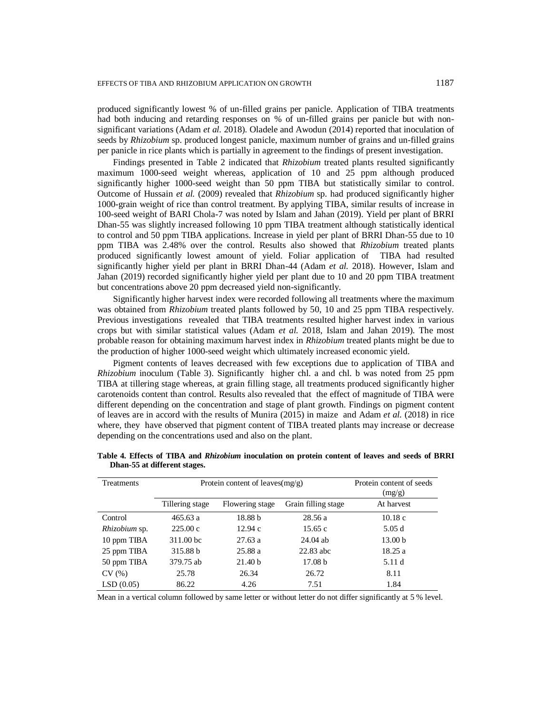produced significantly lowest % of un-filled grains per panicle. Application of TIBA treatments had both inducing and retarding responses on % of un-filled grains per panicle but with nonsignificant variations (Adam *et al.* 2018). Oladele and Awodun (2014) reported that inoculation of seeds by *Rhizobium* sp. produced longest panicle, maximum number of grains and un-filled grains per panicle in rice plants which is partially in agreement to the findings of present investigation.

Findings presented in Table 2 indicated that *Rhizobium* treated plants resulted significantly maximum 1000-seed weight whereas, application of 10 and 25 ppm although produced significantly higher 1000-seed weight than 50 ppm TIBA but statistically similar to control. Outcome of Hussain *et al.* (2009) revealed that *Rhizobium* sp. had produced significantly higher 1000-grain weight of rice than control treatment. By applying TIBA, similar results of increase in 100-seed weight of BARI Chola-7 was noted by Islam and Jahan (2019). Yield per plant of BRRI Dhan-55 was slightly increased following 10 ppm TIBA treatment although statistically identical to control and 50 ppm TIBA applications. Increase in yield per plant of BRRI Dhan-55 due to 10 ppm TIBA was 2.48% over the control. Results also showed that *Rhizobium* treated plants produced significantly lowest amount of yield. Foliar application of TIBA had resulted significantly higher yield per plant in BRRI Dhan-44 (Adam *et al.* 2018). However, Islam and Jahan (2019) recorded significantly higher yield per plant due to 10 and 20 ppm TIBA treatment but concentrations above 20 ppm decreased yield non-significantly.

Significantly higher harvest index were recorded following all treatments where the maximum was obtained from *Rhizobium* treated plants followed by 50, 10 and 25 ppm TIBA respectively. Previous investigations revealed that TIBA treatments resulted higher harvest index in various crops but with similar statistical values (Adam *et al.* 2018, Islam and Jahan 2019). The most probable reason for obtaining maximum harvest index in *Rhizobium* treated plants might be due to the production of higher 1000-seed weight which ultimately increased economic yield.

Pigment contents of leaves decreased with few exceptions due to application of TIBA and *Rhizobium* inoculum (Table 3). Significantly higher chl. a and chl. b was noted from 25 ppm TIBA at tillering stage whereas, at grain filling stage, all treatments produced significantly higher carotenoids content than control. Results also revealed that the effect of magnitude of TIBA were different depending on the concentration and stage of plant growth. Findings on pigment content of leaves are in accord with the results of Munira (2015) in maize and Adam *et al.* (2018) in rice where, they have observed that pigment content of TIBA treated plants may increase or decrease depending on the concentrations used and also on the plant.

| Treatments    |                 | Protein content of leaves $(mg/g)$ |                     | Protein content of seeds<br>(mg/g) |
|---------------|-----------------|------------------------------------|---------------------|------------------------------------|
|               | Tillering stage | Flowering stage                    | Grain filling stage | At harvest                         |
| Control       | 465.63a         | 18.88 b                            | 28.56a              | 10.18c                             |
| Rhizobium sp. | 225.00c         | 12.94c                             | 15.65 $c$           | 5.05d                              |
| 10 ppm TIBA   | 311.00 bc       | 27.63a                             | $24.04$ ab          | 13.00 <sub>b</sub>                 |
| 25 ppm TIBA   | 315.88 b        | 25.88 a                            | $22.83$ abc         | 18.25a                             |
| 50 ppm TIBA   | 379.75 ab       | 21.40 <sub>b</sub>                 | 17.08 <sub>b</sub>  | 5.11 d                             |
| CV(%)         | 25.78           | 26.34                              | 26.72               | 8.11                               |
| LSD(0.05)     | 86.22           | 4.26                               | 7.51                | 1.84                               |

**Table 4. Effects of TIBA and** *Rhizobium* **inoculation on protein content of leaves and seeds of BRRI Dhan-55 at different stages.**

Mean in a vertical column followed by same letter or without letter do not differ significantly at 5 % level.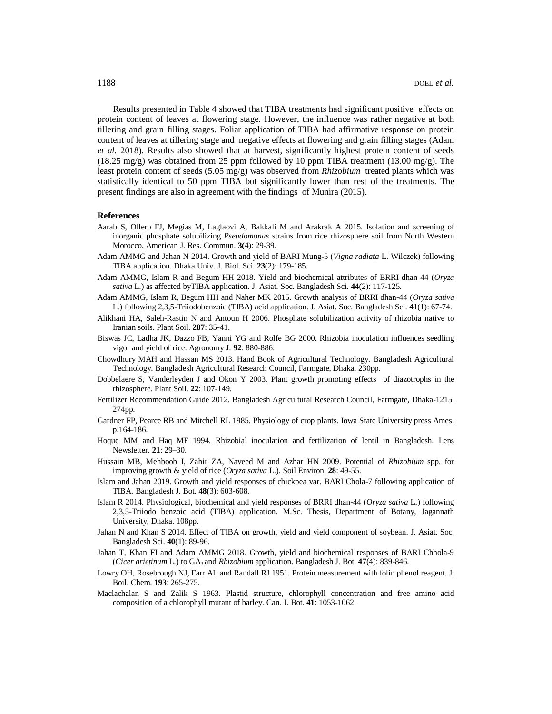Results presented in Table 4 showed that TIBA treatments had significant positive effects on protein content of leaves at flowering stage. However, the influence was rather negative at both tillering and grain filling stages. Foliar application of TIBA had affirmative response on protein content of leaves at tillering stage and negative effects at flowering and grain filling stages (Adam *et al.* 2018). Results also showed that at harvest, significantly highest protein content of seeds  $(18.25 \text{ mg/g})$  was obtained from 25 ppm followed by 10 ppm TIBA treatment  $(13.00 \text{ mg/g})$ . The least protein content of seeds (5.05 mg/g) was observed from *Rhizobium* treated plants which was statistically identical to 50 ppm TIBA but significantly lower than rest of the treatments. The present findings are also in agreement with the findings of Munira (2015).

### **References**

- Aarab S, Ollero FJ, Megias M, Laglaovi A, Bakkali M and Arakrak A 2015. Isolation and screening of inorganic phosphate solubilizing *Pseudomonas* strains from rice rhizosphere soil from North Western Morocco. American J. Res. Commun. **3(**4): 29-39.
- Adam AMMG and Jahan N 2014. Growth and yield of BARI Mung-5 (*Vigna radiata* L. Wilczek) following TIBA application. Dhaka Univ. J. Biol. Sci. **23**(2): 179-185.
- Adam AMMG, Islam R and Begum HH 2018. Yield and biochemical attributes of BRRI dhan-44 (*Oryza sativa* L.) as affected byTIBA application. J. Asiat. Soc. Bangladesh Sci. **44**(2): 117-125.
- Adam AMMG, Islam R, Begum HH and Naher MK 2015. Growth analysis of BRRI dhan-44 (*Oryza sativa*  L.) following 2,3,5-Triiodobenzoic (TIBA) acid application. J. Asiat. Soc. Bangladesh Sci. **41**(1): 67-74.
- Alikhani HA, Saleh-Rastin N and Antoun H 2006. Phosphate solubilization activity of rhizobia native to Iranian soils. Plant Soil. **287**: 35-41.
- Biswas JC, Ladha JK, Dazzo FB, Yanni YG and Rolfe BG 2000. Rhizobia inoculation influences seedling vigor and yield of rice. Agronomy J. **92**: 880-886.
- Chowdhury MAH and Hassan MS 2013. Hand Book of Agricultural Technology. Bangladesh Agricultural Technology. Bangladesh Agricultural Research Council, Farmgate, Dhaka. 230pp.
- Dobbelaere S, Vanderleyden J and Okon Y 2003. Plant growth promoting effects of diazotrophs in the rhizosphere. Plant Soil. **22**: 107-149.
- Fertilizer Recommendation Guide 2012. Bangladesh Agricultural Research Council, Farmgate, Dhaka-1215. 274pp.
- Gardner FP, Pearce RB and Mitchell RL 1985. Physiology of crop plants. Iowa State University press Ames. p.164-186.
- Hoque MM and Haq MF 1994. Rhizobial inoculation and fertilization of lentil in Bangladesh. Lens Newsletter. **21**: 29–30.
- Hussain MB, Mehboob I, Zahir ZA, Naveed M and Azhar HN 2009. Potential of *Rhizobium* spp. for improving growth & yield of rice (*Oryza sativa* L.). Soil Environ. **28**: 49-55.
- Islam and Jahan 2019. Growth and yield responses of chickpea var. BARI Chola-7 following application of TIBA. Bangladesh J. Bot. **48**(3): 603-608.
- Islam R 2014. Physiological, biochemical and yield responses of BRRI dhan-44 (*Oryza sativa* L.) following 2,3,5-Triiodo benzoic acid (TIBA) application. M.Sc. Thesis, Department of Botany, Jagannath University, Dhaka. 108pp.
- Jahan N and Khan S 2014. Effect of TIBA on growth, yield and yield component of soybean. J. Asiat. Soc. Bangladesh Sci. **40**(1): 89-96.
- Jahan T, Khan FI and Adam AMMG 2018. Growth, yield and biochemical responses of BARI Chhola-9 (*Cicer arietinum* L.) to GA3 and *Rhizobium* application. Bangladesh J. Bot. **47**(4): 839-846.
- Lowry OH, Rosebrough NJ, Farr AL and Randall RJ 1951. Protein measurement with folin phenol reagent. J. Boil. Chem. **193**: 265-275.
- Maclachalan S and Zalik S 1963. Plastid structure, chlorophyll concentration and free amino acid composition of a chlorophyll mutant of barley. Can. J. Bot. **41**: 1053-1062.